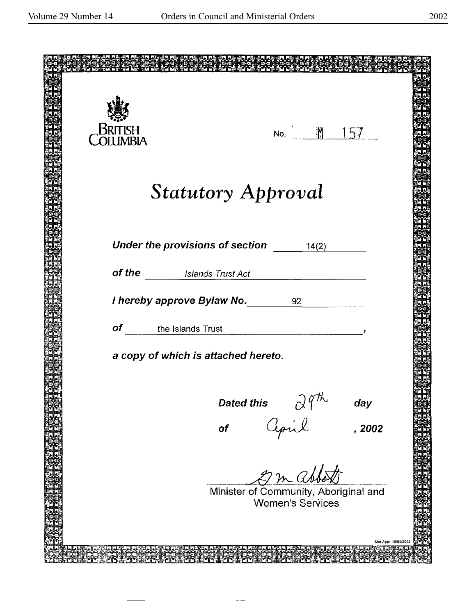| British<br>Olumbia | No. M 157                                                                |                      |
|--------------------|--------------------------------------------------------------------------|----------------------|
|                    |                                                                          |                      |
|                    |                                                                          |                      |
|                    | <b>Statutory Approval</b>                                                |                      |
|                    |                                                                          |                      |
|                    |                                                                          |                      |
|                    | Under the provisions of section<br>14(2)                                 |                      |
|                    | of the Islands Trust Act                                                 |                      |
|                    | I hereby approve Bylaw No. 1892                                          |                      |
|                    |                                                                          |                      |
|                    | of the Islands Trust<br><u> 1989 - Jan Samuel Barbara, poeta estable</u> |                      |
|                    | a copy of which is attached hereto.                                      |                      |
|                    |                                                                          |                      |
|                    | <b>Dated this</b><br>day                                                 |                      |
|                    | s I 9"<br>Cepil<br>, 2002<br>of                                          |                      |
|                    |                                                                          |                      |
|                    |                                                                          |                      |
|                    | 2 m abbo<br>Minister of Community, Aboriginal and                        |                      |
|                    | <b>Women's Services</b>                                                  |                      |
|                    |                                                                          |                      |
|                    |                                                                          | Stat App1 19/04/2002 |
|                    |                                                                          |                      |

 $-\,\mathord{-}$ 

 $\overline{a}$  $\overline{\phantom{a}}$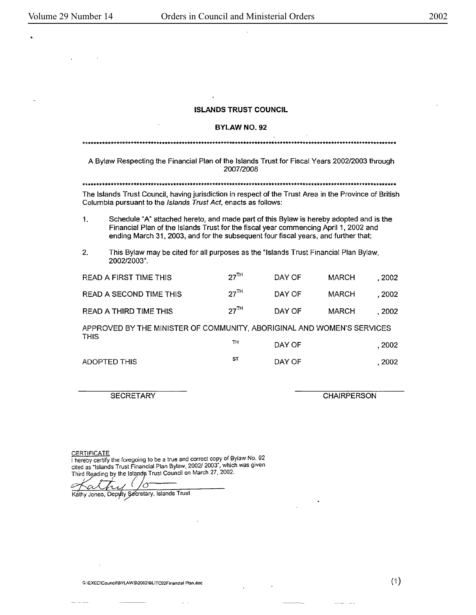$\mathcal{L}^{\mathcal{L}}$ 

 $\sim 10$ 

..

## **ISLANDS TRUST COUNCIL**

 $\cdot$ 

 $\bar{\mathcal{A}}$ 

### **BYLAWN0.92**

| A Bylaw Respecting the Financial Plan of the Islands Trust for Fiscal Years 2002/2003 through<br>2007/2008                                                               |                                                                                                                                                                                                                                                                      |                  |        |              |        |  |
|--------------------------------------------------------------------------------------------------------------------------------------------------------------------------|----------------------------------------------------------------------------------------------------------------------------------------------------------------------------------------------------------------------------------------------------------------------|------------------|--------|--------------|--------|--|
|                                                                                                                                                                          |                                                                                                                                                                                                                                                                      |                  |        |              |        |  |
| The Islands Trust Council, having jurisdiction in respect of the Trust Area in the Province of British<br>Columbia pursuant to the Islands Trust Act, enacts as follows: |                                                                                                                                                                                                                                                                      |                  |        |              |        |  |
| $\mathbf{1}$                                                                                                                                                             | Schedule "A" attached hereto, and made part of this Bylaw is hereby adopted and is the<br>Financial Plan of the Islands Trust for the fiscal year commencing April 1, 2002 and<br>ending March 31, 2003, and for the subsequent four fiscal years, and further that; |                  |        |              |        |  |
| $2^{\circ}$                                                                                                                                                              | This Bylaw may be cited for all purposes as the "Islands Trust Financial Plan Bylaw,<br>2002/2003".                                                                                                                                                                  |                  |        |              |        |  |
|                                                                                                                                                                          | READ A FIRST TIME THIS                                                                                                                                                                                                                                               | 27 <sup>TH</sup> | DAY OF | <b>MARCH</b> | . 2002 |  |
|                                                                                                                                                                          | READ A SECOND TIME THIS                                                                                                                                                                                                                                              | $27^{\text{TH}}$ | DAY OF | MARCH        | .2002  |  |
|                                                                                                                                                                          | READ A THIRD TIME THIS                                                                                                                                                                                                                                               | $27^{\text{TH}}$ | DAY OF | MARCH        | . 2002 |  |
| APPROVED BY THE MINISTER OF COMMUNITY, ABORIGINAL AND WOMEN'S SERVICES                                                                                                   |                                                                                                                                                                                                                                                                      |                  |        |              |        |  |
| <b>THIS</b>                                                                                                                                                              |                                                                                                                                                                                                                                                                      | TH               | DAY OF |              | . 2002 |  |
|                                                                                                                                                                          | ADOPTED THIS                                                                                                                                                                                                                                                         | ST               | DAY OF |              | . 2002 |  |

 $\boldsymbol{\beta}$ 

 $\ddot{\phantom{0}}$ 

**SECRETARY** 

**CHAIRPERSON** 

(1)

 $\sim$ 

CERTIFICATE<br>
I hereby certify the foregoing to be a true and correct copy of Bylaw No. 92<br>
cited as "Islands Trust Financial Plan Bylaw, 2002/2003", which was given<br>
Third Reading by the Islands Trust Council on March 27,

 $\omega_{\rm{c}}$  .

Kathy Jones, Depyly Secretary, Islands Trust

 $\overline{a}$  ,  $\overline{a}$  ,  $\overline{a}$  ,  $\overline{a}$  ,  $\overline{a}$  ,  $\overline{a}$  ,  $\overline{a}$  ,  $\overline{a}$  ,  $\overline{a}$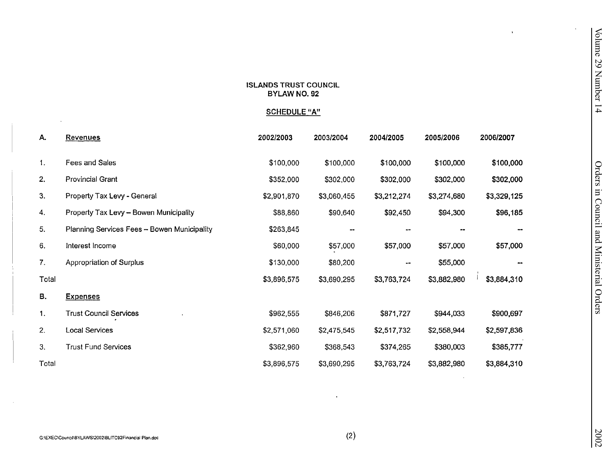|                |                                                       | <b>ISLANDS TRUST COUNCIL</b><br><b>BYLAW NO. 92</b><br><b>SCHEDULE "A"</b> |             |                        |             | $\bullet$   | Volume 29 Number 14                      |
|----------------|-------------------------------------------------------|----------------------------------------------------------------------------|-------------|------------------------|-------------|-------------|------------------------------------------|
| Α.             | <b>Revenues</b>                                       | 2002/2003                                                                  | 2003/2004   | 2004/2005              | 2005/2006   | 2006/2007   |                                          |
| $\mathbf{1}$ . | Fees and Sales                                        | \$100,000                                                                  | \$100,000   | \$100,000              | \$100,000   | \$100,000   |                                          |
| 2.             | Provincial Grant                                      | \$352,000                                                                  | \$302,000   | \$302,000              | \$302,000   | \$302,000   |                                          |
| 3.             | Property Tax Levy - General                           | \$2,901,870                                                                | \$3,060,455 | \$3,212,274            | \$3,274,680 | \$3,329,125 |                                          |
| 4.             | Property Tax Levy - Bowen Municipality                | \$88,860                                                                   | \$90,640    | \$92,450               | \$94,300    | \$96,185    |                                          |
| 5.             | Planning Services Fees - Bowen Municipality           | \$263,845                                                                  |             |                        |             |             |                                          |
| 6.             | Interest Income                                       | \$60,000                                                                   | \$57,000    | \$57,000               | \$57,000    | \$57,000    |                                          |
| 7.             | Appropriation of Surplus                              | \$130,000                                                                  | \$80,200    | $\qquad \qquad \cdots$ | \$55,000    |             |                                          |
| Total          |                                                       | \$3,896,575                                                                | \$3,690,295 | \$3,763,724            | \$3,882,980 | \$3,884,310 |                                          |
| В.             | <b>Expenses</b>                                       |                                                                            |             |                        |             |             | Orders in Council and Ministerial Orders |
| 1.             | <b>Trust Council Services</b>                         | \$962,555                                                                  | \$846,206   | \$871,727              | \$944,033   | \$900,697   |                                          |
| 2.             | <b>Local Services</b>                                 | \$2,571,060                                                                | \$2,475,545 | \$2,517,732            | \$2,558,944 | \$2,597,836 |                                          |
| 3.             | <b>Trust Fund Services</b>                            | \$362,960                                                                  | \$368,543   | \$374,265              | \$380,003   | \$385,777   |                                          |
| Total          |                                                       | \$3,896,575                                                                | \$3,690,295 | \$3,763,724            | \$3,882,980 | \$3,884,310 |                                          |
|                |                                                       |                                                                            |             |                        |             |             |                                          |
|                | G:\EXEC\Council\BYLAWS\2002\BLITC92Financial Plan.doc |                                                                            | (2)         |                        |             |             | 2002                                     |

 $\sim$   $\alpha$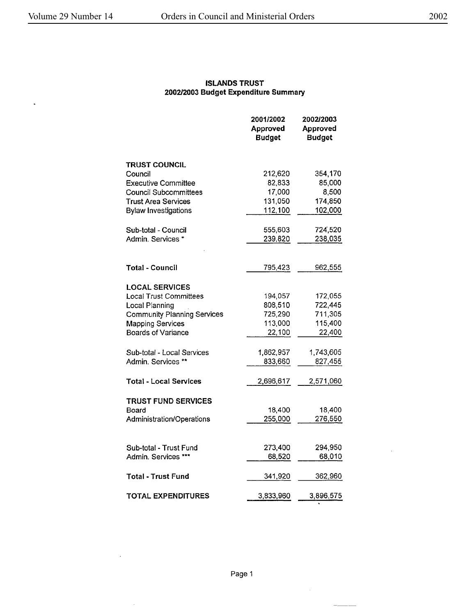$\Box$ 

 $\bar{\beta}$ 

# **ISLANDS** TRUST **2002/2003 Budget Expenditure Summary**

|                                                      | 2001/2002<br>Approved<br><b>Budget</b> | 2002/2003<br><b>Approved</b><br><b>Budget</b> |
|------------------------------------------------------|----------------------------------------|-----------------------------------------------|
| <b>TRUST COUNCIL</b>                                 |                                        |                                               |
| Council                                              | 212,620                                | 354,170                                       |
| <b>Executive Committee</b>                           | 82,833                                 | 85,000                                        |
| <b>Council Subcommittees</b>                         | 17,000                                 | 8,500                                         |
| <b>Trust Area Services</b>                           | 131,050                                | 174,850                                       |
| <b>Bylaw Investigations</b>                          | 112,100                                | 102,000                                       |
| Sub-total - Council                                  | 555,603                                | 724,520                                       |
| Admin. Services *                                    | 239,820                                | 238,035                                       |
|                                                      |                                        |                                               |
| Total - Council                                      | 795,423                                | 962,555                                       |
| <b>LOCAL SERVICES</b>                                |                                        |                                               |
| <b>Local Trust Committees</b>                        | 194,057                                | 172,055                                       |
| Local Planning                                       | 808,510                                | 722,445                                       |
| <b>Community Planning Services</b>                   | 725,290                                | 711,305                                       |
| <b>Mapping Services</b><br><b>Boards of Variance</b> | 113,000                                | 115,400<br>22,400                             |
|                                                      | 22,100                                 |                                               |
| Sub-total - Local Services                           | 1,862,957                              | 1,743,605                                     |
| Admin. Services **                                   | 833,660                                | 827,455                                       |
| <b>Total - Local Services</b>                        | 2,696,617                              | 2,571,060                                     |
| <b>TRUST FUND SERVICES</b>                           |                                        |                                               |
| Board                                                | 18,400                                 | 18,400                                        |
| Administration/Operations                            | 255,000                                | 276,550                                       |
|                                                      |                                        |                                               |
| Sub-total - Trust Fund                               | 273,400                                | 294.950                                       |
| Admin. Services ***                                  | 68,520                                 | 68,010                                        |
| <b>Total - Trust Fund</b>                            | 341,920                                | 362,960                                       |
| <b>TOTAL EXPENDITURES</b>                            | 3,833,960                              | 3,896,575                                     |

 $\mathcal{L}^{\text{max}}$ 

 $\bar{\mathcal{A}}$ 

 $\bar{\gamma}$